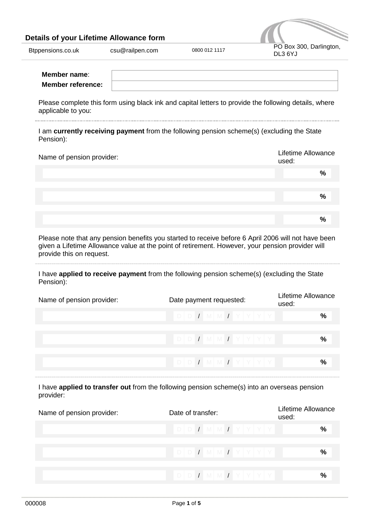## **Details of your Lifetime Allowance form**



|  | Btppensions.co.uk |  |
|--|-------------------|--|
|  |                   |  |

| Member name:             |  |
|--------------------------|--|
| <b>Member reference:</b> |  |

Please complete this form using black ink and capital letters to provide the following details, where applicable to you:

I am **currently receiving payment** from the following pension scheme(s) (excluding the State Pension):

| Name of pension provider: | <b>Lifetime Allowance</b><br>used: |
|---------------------------|------------------------------------|
|                           | %                                  |
|                           |                                    |
|                           | $\frac{0}{0}$                      |
|                           |                                    |
|                           | $\frac{0}{0}$                      |

Please note that any pension benefits you started to receive before 6 April 2006 will not have been given a Lifetime Allowance value at the point of retirement. However, your pension provider will provide this on request.

I have **applied to receive payment** from the following pension scheme(s) (excluding the State Pension):

| Name of pension provider: | Date payment requested: | Lifetime Allowance<br>used: |
|---------------------------|-------------------------|-----------------------------|
|                           | $D D D I M M I Y Y Y$   | $\frac{6}{6}$               |
|                           |                         | %                           |
|                           | $D D J M M J Y Y Y$     | $\frac{6}{6}$               |

I have **applied to transfer out** from the following pension scheme(s) into an overseas pension provider:

| Name of pension provider: | Date of transfer:   | Lifetime Allowance<br>used: |
|---------------------------|---------------------|-----------------------------|
|                           |                     | ℅                           |
|                           |                     | %                           |
|                           | $D D J M M J Y Y Y$ | %                           |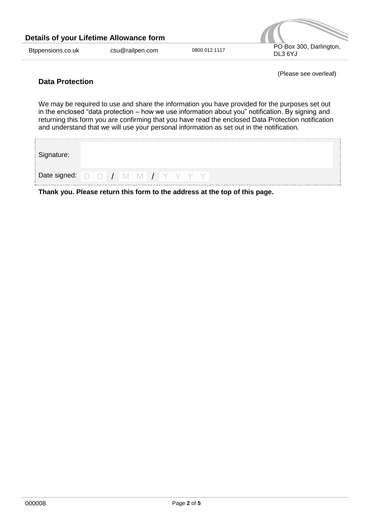| Details of your Lifetime Allowance form |                 |               |                                    |
|-----------------------------------------|-----------------|---------------|------------------------------------|
| Btppensions.co.uk                       | csu@railpen.com | 0800 012 1117 | PO Box 300, Darlington,<br>DL3 6YJ |

(Please see overleaf)

# **Data Protection**

We may be required to use and share the information you have provided for the purposes set out in the enclosed "data protection – how we use information about you" notification. By signing and returning this form you are confirming that you have read the enclosed Data Protection notification and understand that we will use your personal information as set out in the notification.

| Signature: |  |  |                                                                      |  |
|------------|--|--|----------------------------------------------------------------------|--|
|            |  |  | Date signed: $\bigcirc$   $\bigcirc$   /   M   M   /   Y   Y   Y   Y |  |
| --         |  |  | .<br>.                                                               |  |

**Thank you. Please return this form to the address at the top of this page.**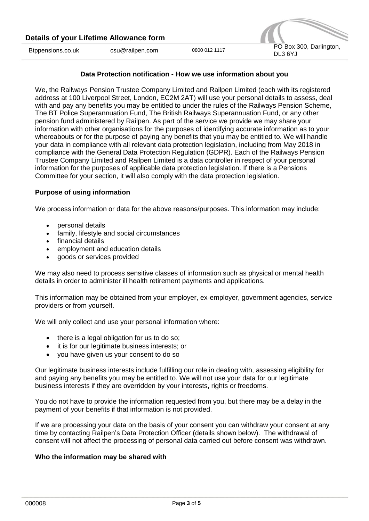### **Data Protection notification - How we use information about you**

We, the Railways Pension Trustee Company Limited and Railpen Limited (each with its registered address at 100 Liverpool Street, London, EC2M 2AT) will use your personal details to assess, deal with and pay any benefits you may be entitled to under the rules of the Railways Pension Scheme, The BT Police Superannuation Fund, The British Railways Superannuation Fund, or any other pension fund administered by Railpen. As part of the service we provide we may share your information with other organisations for the purposes of identifying accurate information as to your whereabouts or for the purpose of paying any benefits that you may be entitled to. We will handle your data in compliance with all relevant data protection legislation, including from May 2018 in compliance with the General Data Protection Regulation (GDPR). Each of the Railways Pension Trustee Company Limited and Railpen Limited is a data controller in respect of your personal information for the purposes of applicable data protection legislation. If there is a Pensions Committee for your section, it will also comply with the data protection legislation.

#### **Purpose of using information**

We process information or data for the above reasons/purposes. This information may include:

- personal details
- family, lifestyle and social circumstances
- financial details
- employment and education details
- goods or services provided

We may also need to process sensitive classes of information such as physical or mental health details in order to administer ill health retirement payments and applications.

This information may be obtained from your employer, ex-employer, government agencies, service providers or from yourself.

We will only collect and use your personal information where:

- $\bullet$  there is a legal obligation for us to do so;
- it is for our legitimate business interests; or
- you have given us your consent to do so

Our legitimate business interests include fulfilling our role in dealing with, assessing eligibility for and paying any benefits you may be entitled to. We will not use your data for our legitimate business interests if they are overridden by your interests, rights or freedoms.

You do not have to provide the information requested from you, but there may be a delay in the payment of your benefits if that information is not provided.

If we are processing your data on the basis of your consent you can withdraw your consent at any time by contacting Railpen's Data Protection Officer (details shown below). The withdrawal of consent will not affect the processing of personal data carried out before consent was withdrawn.

#### **Who the information may be shared with**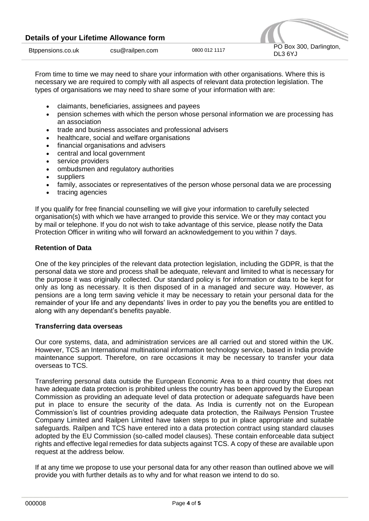| Details of your Lifetime Allowance form |                 |               |                                    |
|-----------------------------------------|-----------------|---------------|------------------------------------|
| Btppensions.co.uk                       | csu@railpen.com | 0800 012 1117 | PO Box 300, Darlington,<br>DL3 6YJ |

From time to time we may need to share your information with other organisations. Where this is necessary we are required to comply with all aspects of relevant data protection legislation. The types of organisations we may need to share some of your information with are:

- claimants, beneficiaries, assignees and payees
- pension schemes with which the person whose personal information we are processing has an association
- trade and business associates and professional advisers
- healthcare, social and welfare organisations
- financial organisations and advisers
- central and local government
- service providers
- ombudsmen and regulatory authorities
- suppliers
- family, associates or representatives of the person whose personal data we are processing
- tracing agencies

If you qualify for free financial counselling we will give your information to carefully selected organisation(s) with which we have arranged to provide this service. We or they may contact you by mail or telephone. If you do not wish to take advantage of this service, please notify the Data Protection Officer in writing who will forward an acknowledgement to you within 7 days.

## **Retention of Data**

One of the key principles of the relevant data protection legislation, including the GDPR, is that the personal data we store and process shall be adequate, relevant and limited to what is necessary for the purpose it was originally collected. Our standard policy is for information or data to be kept for only as long as necessary. It is then disposed of in a managed and secure way. However, as pensions are a long term saving vehicle it may be necessary to retain your personal data for the remainder of your life and any dependants' lives in order to pay you the benefits you are entitled to along with any dependant's benefits payable.

### **Transferring data overseas**

Our core systems, data, and administration services are all carried out and stored within the UK. However, TCS an International multinational information technology service, based in India provide maintenance support. Therefore, on rare occasions it may be necessary to transfer your data overseas to TCS.

Transferring personal data outside the European Economic Area to a third country that does not have adequate data protection is prohibited unless the country has been approved by the European Commission as providing an adequate level of data protection or adequate safeguards have been put in place to ensure the security of the data. As India is currently not on the European Commission's list of countries providing adequate data protection, the Railways Pension Trustee Company Limited and Railpen Limited have taken steps to put in place appropriate and suitable safeguards. Railpen and TCS have entered into a data protection contract using standard clauses adopted by the EU Commission (so-called model clauses). These contain enforceable data subject rights and effective legal remedies for data subjects against TCS. A copy of these are available upon request at the address below.

If at any time we propose to use your personal data for any other reason than outlined above we will provide you with further details as to why and for what reason we intend to do so.